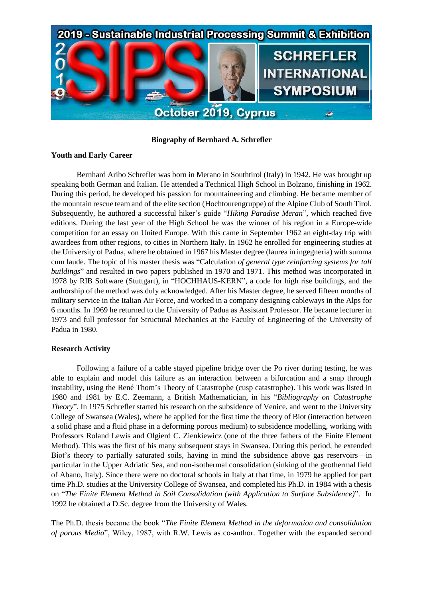

**Biography of Bernhard A. Schrefler**

## **Youth and Early Career**

Bernhard Aribo Schrefler was born in Merano in Southtirol (Italy) in 1942. He was brought up speaking both German and Italian. He attended a Technical High School in Bolzano, finishing in 1962. During this period, he developed his passion for mountaineering and climbing. He became member of the mountain rescue team and of the elite section (Hochtourengruppe) of the Alpine Club of South Tirol. Subsequently, he authored a successful hiker's guide "*Hiking Paradise Meran*", which reached five editions. During the last year of the High School he was the winner of his region in a Europe-wide competition for an essay on United Europe. With this came in September 1962 an eight-day trip with awardees from other regions, to cities in Northern Italy. In 1962 he enrolled for engineering studies at the University of Padua, where he obtained in 1967 his Master degree (laurea in ingegneria) with summa cum laude. The topic of his master thesis was "Calculation *of general type reinforcing systems for tall buildings*" and resulted in two papers published in 1970 and 1971. This method was incorporated in 1978 by RIB Software (Stuttgart), in "HOCHHAUS-KERN", a code for high rise buildings, and the authorship of the method was duly acknowledged. After his Master degree, he served fifteen months of military service in the Italian Air Force, and worked in a company designing cableways in the Alps for 6 months. In 1969 he returned to the University of Padua as Assistant Professor. He became lecturer in 1973 and full professor for Structural Mechanics at the Faculty of Engineering of the University of Padua in 1980.

## **Research Activity**

Following a failure of a cable stayed pipeline bridge over the Po river during testing, he was able to explain and model this failure as an interaction between a bifurcation and a snap through instability, using the René Thom's Theory of Catastrophe (cusp catastrophe). This work was listed in 1980 and 1981 by E.C. Zeemann, a British Mathematician, in his "*Bibliography on Catastrophe Theory*". In 1975 Schrefler started his research on the subsidence of Venice, and went to the University College of Swansea (Wales), where he applied for the first time the theory of Biot (interaction between a solid phase and a fluid phase in a deforming porous medium) to subsidence modelling, working with Professors Roland Lewis and Olgierd C. Zienkiewicz (one of the three fathers of the Finite Element Method). This was the first of his many subsequent stays in Swansea. During this period, he extended Biot's theory to partially saturated soils, having in mind the subsidence above gas reservoirs—in particular in the Upper Adriatic Sea, and non-isothermal consolidation (sinking of the geothermal field of Abano, Italy). Since there were no doctoral schools in Italy at that time, in 1979 he applied for part time Ph.D. studies at the University College of Swansea, and completed his Ph.D. in 1984 with a thesis on "*The Finite Element Method in Soil Consolidation (with Application to Surface Subsidence)*". In 1992 he obtained a D.Sc. degree from the University of Wales.

The Ph.D. thesis became the book "*The Finite Element Method in the deformation and consolidation of porous Media*", Wiley, 1987, with R.W. Lewis as co-author. Together with the expanded second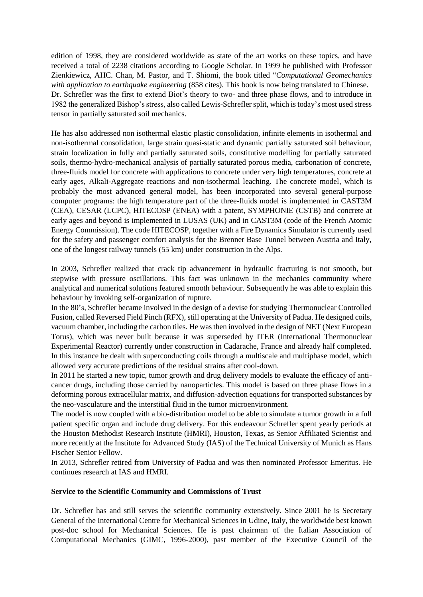edition of 1998, they are considered worldwide as state of the art works on these topics, and have received a total of 2238 citations according to Google Scholar. In 1999 he published with Professor Zienkiewicz, AHC. Chan, M. Pastor, and T. Shiomi, the book titled "*Computational Geomechanics with application to earthquake engineering* (858 cites). This book is now being translated to Chinese. Dr. Schrefler was the first to extend Biot's theory to two- and three phase flows, and to introduce in 1982 the generalized Bishop's stress, also called Lewis-Schrefler split, which is today's most used stress tensor in partially saturated soil mechanics.

He has also addressed non isothermal elastic plastic consolidation, infinite elements in isothermal and non-isothermal consolidation, large strain quasi-static and dynamic partially saturated soil behaviour, strain localization in fully and partially saturated soils, constitutive modelling for partially saturated soils, thermo-hydro-mechanical analysis of partially saturated porous media, carbonation of concrete, three-fluids model for concrete with applications to concrete under very high temperatures, concrete at early ages, Alkali-Aggregate reactions and non-isothermal leaching. The concrete model, which is probably the most advanced general model, has been incorporated into several general-purpose computer programs: the high temperature part of the three-fluids model is implemented in CAST3M (CEA), CESAR (LCPC), HITECOSP (ENEA) with a patent, SYMPHONIE (CSTB) and concrete at early ages and beyond is implemented in LUSAS (UK) and in CAST3M (code of the French Atomic Energy Commission). The code HITECOSP, together with a Fire Dynamics Simulator is currently used for the safety and passenger comfort analysis for the Brenner Base Tunnel between Austria and Italy, one of the longest railway tunnels (55 km) under construction in the Alps.

In 2003, Schrefler realized that crack tip advancement in hydraulic fracturing is not smooth, but stepwise with pressure oscillations. This fact was unknown in the mechanics community where analytical and numerical solutions featured smooth behaviour. Subsequently he was able to explain this behaviour by invoking self-organization of rupture.

In the 80's, Schrefler became involved in the design of a devise for studying Thermonuclear Controlled Fusion, called Reversed Field Pinch (RFX), still operating at the University of Padua. He designed coils, vacuum chamber, including the carbon tiles. He was then involved in the design of NET (Next European Torus), which was never built because it was superseded by ITER (International Thermonuclear Experimental Reactor) currently under construction in Cadarache, France and already half completed. In this instance he dealt with superconducting coils through a multiscale and multiphase model, which allowed very accurate predictions of the residual strains after cool-down.

In 2011 he started a new topic, tumor growth and drug delivery models to evaluate the efficacy of anticancer drugs, including those carried by nanoparticles. This model is based on three phase flows in a deforming porous extracellular matrix, and diffusion-advection equations for transported substances by the neo-vasculature and the interstitial fluid in the tumor microenvironment.

The model is now coupled with a bio-distribution model to be able to simulate a tumor growth in a full patient specific organ and include drug delivery. For this endeavour Schrefler spent yearly periods at the Houston Methodist Research Institute (HMRI), Houston, Texas, as Senior Affiliated Scientist and more recently at the Institute for Advanced Study (IAS) of the Technical University of Munich as Hans Fischer Senior Fellow.

In 2013, Schrefler retired from University of Padua and was then nominated Professor Emeritus. He continues research at IAS and HMRI.

## **Service to the Scientific Community and Commissions of Trust**

Dr. Schrefler has and still serves the scientific community extensively. Since 2001 he is Secretary General of the International Centre for Mechanical Sciences in Udine, Italy, the worldwide best known post-doc school for Mechanical Sciences. He is past chairman of the Italian Association of Computational Mechanics (GIMC, 1996-2000), past member of the Executive Council of the